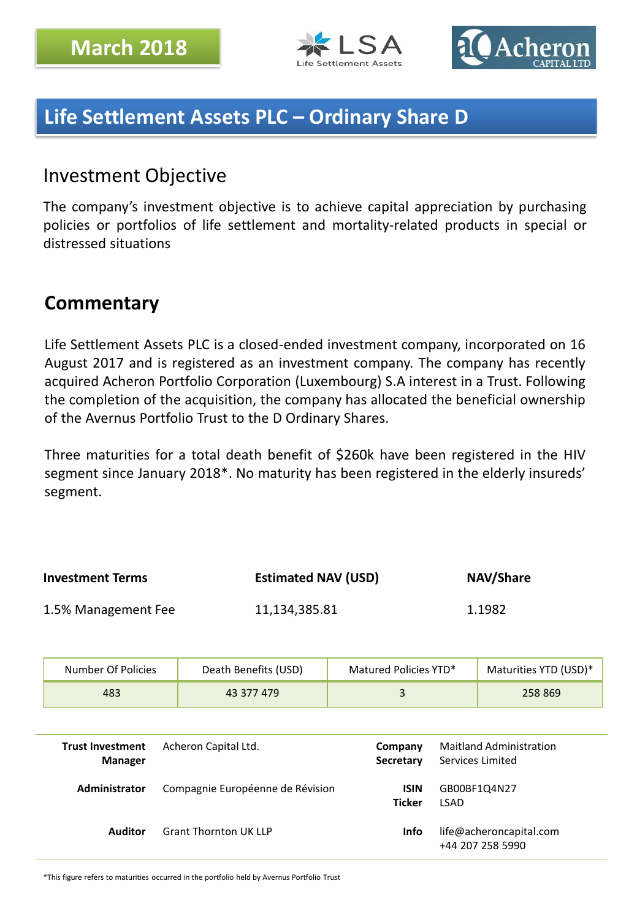



# **Life Settlement Assets PLC – Ordinary Share D**

### Investment Objective

The company's investment objective is to achieve capital appreciation by purchasing policies or portfolios of life settlement and mortality-related products in special or distressed situations

### **Commentary**

Life Settlement Assets PLC is a closed-ended investment company, incorporated on 16 August 2017 and is registered as an investment company. The company has recently acquired Acheron Portfolio Corporation (Luxembourg) S.A interest in a Trust. Following the completion of the acquisition, the company has allocated the beneficial ownership of the Avernus Portfolio Trust to the D Ordinary Shares.

Three maturities for a total death benefit of \$260k have been registered in the HIV segment since January 2018\*. No maturity has been registered in the elderly insureds' segment.

| <b>Investment Terms</b> |                                                                   | <b>Estimated NAV (USD)</b>       |                              |                                                    | NAV/Share                                   |
|-------------------------|-------------------------------------------------------------------|----------------------------------|------------------------------|----------------------------------------------------|---------------------------------------------|
| 1.5% Management Fee     |                                                                   | 11,134,385.81                    |                              |                                                    | 1.1982                                      |
|                         | Number Of Policies                                                | Death Benefits (USD)             | Matured Policies YTD*        |                                                    | Maturities YTD (USD)*                       |
|                         | 483                                                               | 43 377 479                       | 3                            |                                                    | 258 869                                     |
|                         |                                                                   |                                  |                              |                                                    |                                             |
|                         | <b>Trust Investment</b><br>Acheron Capital Ltd.<br><b>Manager</b> |                                  | Company<br>Secretary         | <b>Maitland Administration</b><br>Services Limited |                                             |
|                         | Administrator                                                     | Compagnie Européenne de Révision | <b>ISIN</b><br><b>Ticker</b> | <b>LSAD</b>                                        | GB00BF1Q4N27                                |
|                         | <b>Auditor</b>                                                    | <b>Grant Thornton UK LLP</b>     | <b>Info</b>                  |                                                    | life@acheroncapital.com<br>+44 207 258 5990 |

\*This figure refers to maturities occurred in the portfolio held by Avernus Portfolio Trust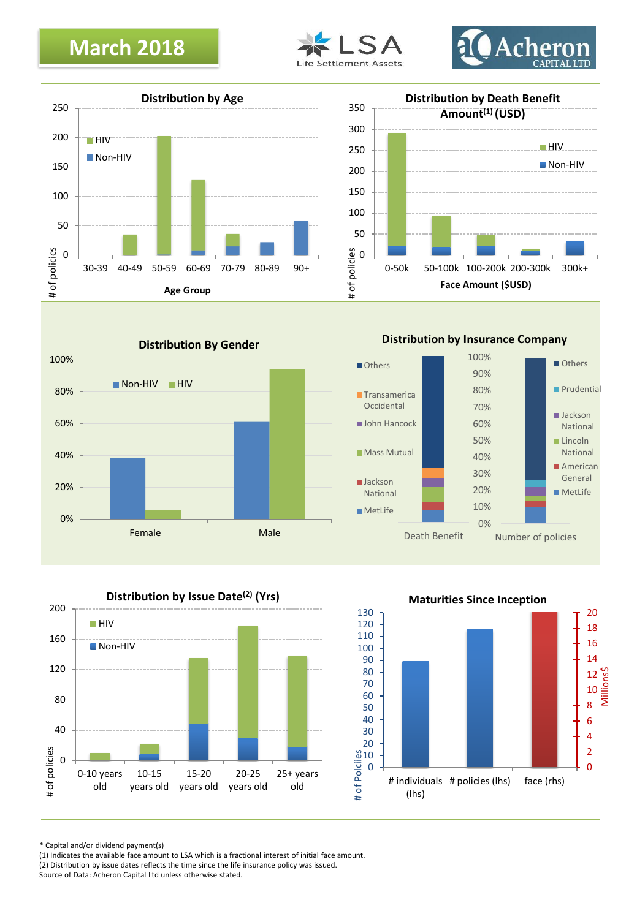# **March 2018**











**Distribution by Insurance Company**





**Maturities Since Inception**



\* Capital and/or dividend payment(s)

(1) Indicates the available face amount to LSA which is a fractional interest of initial face amount. (2) Distribution by issue dates reflects the time since the life insurance policy was issued.

Source of Data: Acheron Capital Ltd unless otherwise stated.